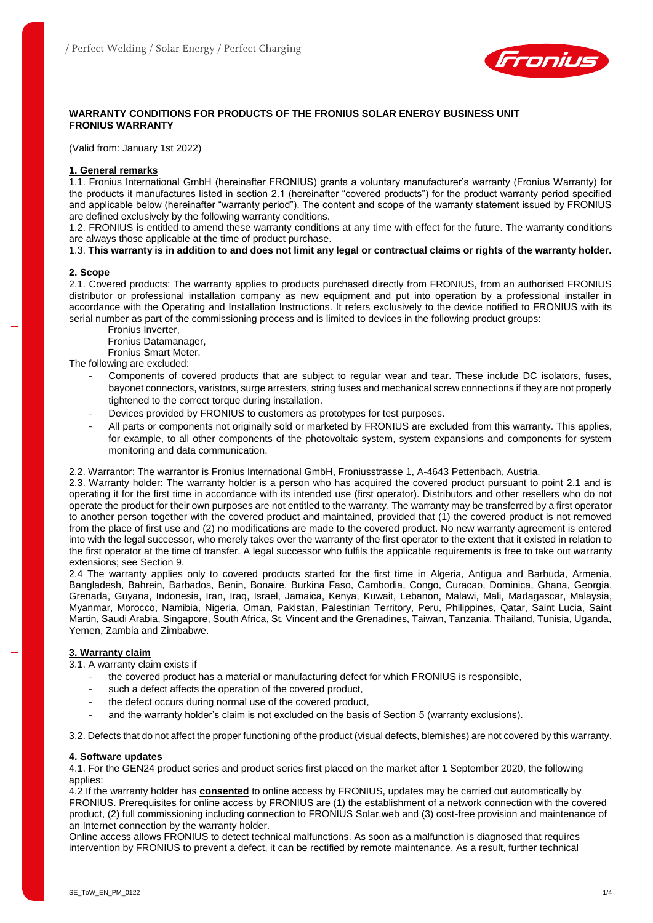

# **WARRANTY CONDITIONS FOR PRODUCTS OF THE FRONIUS SOLAR ENERGY BUSINESS UNIT FRONIUS WARRANTY**

(Valid from: January 1st 2022)

## **1. General remarks**

1.1. Fronius International GmbH (hereinafter FRONIUS) grants a voluntary manufacturer's warranty (Fronius Warranty) for the products it manufactures listed in section 2.1 (hereinafter "covered products") for the product warranty period specified and applicable below (hereinafter "warranty period"). The content and scope of the warranty statement issued by FRONIUS are defined exclusively by the following warranty conditions.

1.2. FRONIUS is entitled to amend these warranty conditions at any time with effect for the future. The warranty conditions are always those applicable at the time of product purchase.

1.3. **This warranty is in addition to and does not limit any legal or contractual claims or rights of the warranty holder.**

## **2. Scope**

2.1. Covered products: The warranty applies to products purchased directly from FRONIUS, from an authorised FRONIUS distributor or professional installation company as new equipment and put into operation by a professional installer in accordance with the Operating and Installation Instructions. It refers exclusively to the device notified to FRONIUS with its serial number as part of the commissioning process and is limited to devices in the following product groups:

Fronius Inverter,

Fronius Datamanager,

Fronius Smart Meter.

The following are excluded:

- Components of covered products that are subject to regular wear and tear. These include DC isolators, fuses, bayonet connectors, varistors, surge arresters, string fuses and mechanical screw connections if they are not properly tightened to the correct torque during installation.
- Devices provided by FRONIUS to customers as prototypes for test purposes.
- All parts or components not originally sold or marketed by FRONIUS are excluded from this warranty. This applies, for example, to all other components of the photovoltaic system, system expansions and components for system monitoring and data communication.

2.2. Warrantor: The warrantor is Fronius International GmbH, Froniusstrasse 1, A-4643 Pettenbach, Austria.

2.3. Warranty holder: The warranty holder is a person who has acquired the covered product pursuant to point 2.1 and is operating it for the first time in accordance with its intended use (first operator). Distributors and other resellers who do not operate the product for their own purposes are not entitled to the warranty. The warranty may be transferred by a first operator to another person together with the covered product and maintained, provided that (1) the covered product is not removed from the place of first use and (2) no modifications are made to the covered product. No new warranty agreement is entered into with the legal successor, who merely takes over the warranty of the first operator to the extent that it existed in relation to the first operator at the time of transfer. A legal successor who fulfils the applicable requirements is free to take out warranty extensions; see Section 9.

2.4 The warranty applies only to covered products started for the first time in Algeria, Antigua and Barbuda, Armenia, Bangladesh, Bahrein, Barbados, Benin, Bonaire, Burkina Faso, Cambodia, Congo, Curacao, Dominica, Ghana, Georgia, Grenada, Guyana, Indonesia, Iran, Iraq, Israel, Jamaica, Kenya, Kuwait, Lebanon, Malawi, Mali, Madagascar, Malaysia, Myanmar, Morocco, Namibia, Nigeria, Oman, Pakistan, Palestinian Territory, Peru, Philippines, Qatar, Saint Lucia, Saint Martin, Saudi Arabia, Singapore, South Africa, St. Vincent and the Grenadines, Taiwan, Tanzania, Thailand, Tunisia, Uganda, Yemen, Zambia and Zimbabwe.

### **3. Warranty claim**

3.1. A warranty claim exists if

- the covered product has a material or manufacturing defect for which FRONIUS is responsible,
- such a defect affects the operation of the covered product,
- the defect occurs during normal use of the covered product,
- and the warranty holder's claim is not excluded on the basis of Section 5 (warranty exclusions).

3.2. Defects that do not affect the proper functioning of the product (visual defects, blemishes) are not covered by this warranty.

### **4. Software updates**

4.1. For the GEN24 product series and product series first placed on the market after 1 September 2020, the following applies:

4.2 If the warranty holder has **consented** to online access by FRONIUS, updates may be carried out automatically by FRONIUS. Prerequisites for online access by FRONIUS are (1) the establishment of a network connection with the covered product, (2) full commissioning including connection to FRONIUS Solar.web and (3) cost-free provision and maintenance of an Internet connection by the warranty holder.

Online access allows FRONIUS to detect technical malfunctions. As soon as a malfunction is diagnosed that requires intervention by FRONIUS to prevent a defect, it can be rectified by remote maintenance. As a result, further technical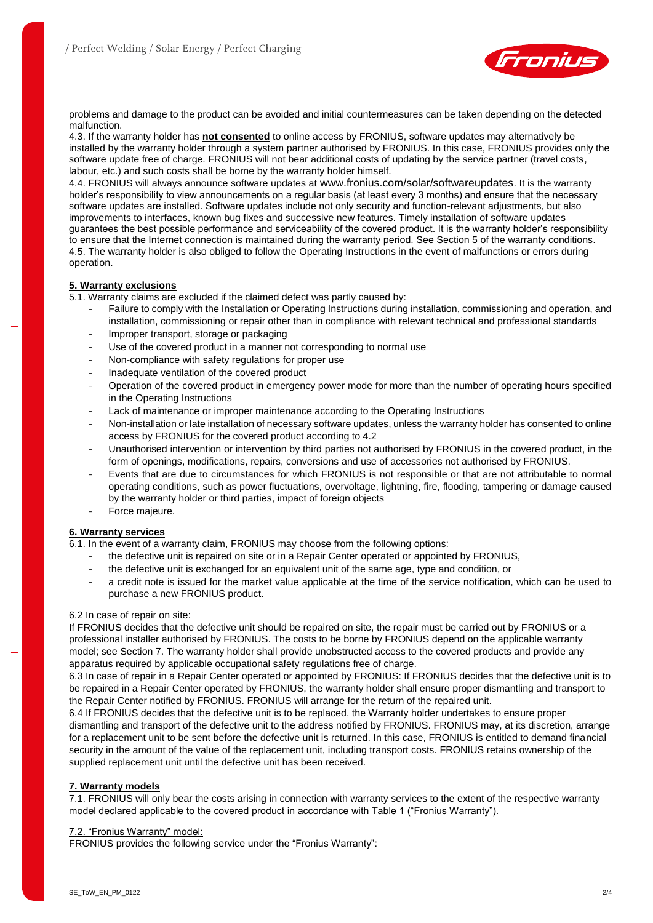

problems and damage to the product can be avoided and initial countermeasures can be taken depending on the detected malfunction.

4.3. If the warranty holder has **not consented** to online access by FRONIUS, software updates may alternatively be installed by the warranty holder through a system partner authorised by FRONIUS. In this case, FRONIUS provides only the software update free of charge. FRONIUS will not bear additional costs of updating by the service partner (travel costs, labour, etc.) and such costs shall be borne by the warranty holder himself.

4.4. FRONIUS will always announce software updates at [www.fronius.com/solar/softwareupdates](http://www.fronius.com/solar/softwareupdates). It is the warranty holder's responsibility to view announcements on a regular basis (at least every 3 months) and ensure that the necessary software updates are installed. Software updates include not only security and function-relevant adjustments, but also improvements to interfaces, known bug fixes and successive new features. Timely installation of software updates guarantees the best possible performance and serviceability of the covered product. It is the warranty holder's responsibility to ensure that the Internet connection is maintained during the warranty period. See Section 5 of the warranty conditions. 4.5. The warranty holder is also obliged to follow the Operating Instructions in the event of malfunctions or errors during operation.

## **5. Warranty exclusions**

5.1. Warranty claims are excluded if the claimed defect was partly caused by:

- Failure to comply with the Installation or Operating Instructions during installation, commissioning and operation, and installation, commissioning or repair other than in compliance with relevant technical and professional standards
- Improper transport, storage or packaging
- Use of the covered product in a manner not corresponding to normal use
- Non-compliance with safety regulations for proper use
- Inadequate ventilation of the covered product
- Operation of the covered product in emergency power mode for more than the number of operating hours specified in the Operating Instructions
- Lack of maintenance or improper maintenance according to the Operating Instructions
- Non-installation or late installation of necessary software updates, unless the warranty holder has consented to online access by FRONIUS for the covered product according to 4.2
- Unauthorised intervention or intervention by third parties not authorised by FRONIUS in the covered product, in the form of openings, modifications, repairs, conversions and use of accessories not authorised by FRONIUS.
- Events that are due to circumstances for which FRONIUS is not responsible or that are not attributable to normal operating conditions, such as power fluctuations, overvoltage, lightning, fire, flooding, tampering or damage caused by the warranty holder or third parties, impact of foreign objects
- Force majeure.

# **6. Warranty services**

6.1. In the event of a warranty claim, FRONIUS may choose from the following options:

- the defective unit is repaired on site or in a Repair Center operated or appointed by FRONIUS,
- the defective unit is exchanged for an equivalent unit of the same age, type and condition, or
- a credit note is issued for the market value applicable at the time of the service notification, which can be used to purchase a new FRONIUS product.

### 6.2 In case of repair on site:

If FRONIUS decides that the defective unit should be repaired on site, the repair must be carried out by FRONIUS or a professional installer authorised by FRONIUS. The costs to be borne by FRONIUS depend on the applicable warranty model; see Section 7. The warranty holder shall provide unobstructed access to the covered products and provide any apparatus required by applicable occupational safety regulations free of charge.

6.3 In case of repair in a Repair Center operated or appointed by FRONIUS: If FRONIUS decides that the defective unit is to be repaired in a Repair Center operated by FRONIUS, the warranty holder shall ensure proper dismantling and transport to the Repair Center notified by FRONIUS. FRONIUS will arrange for the return of the repaired unit.

6.4 If FRONIUS decides that the defective unit is to be replaced, the Warranty holder undertakes to ensure proper dismantling and transport of the defective unit to the address notified by FRONIUS. FRONIUS may, at its discretion, arrange for a replacement unit to be sent before the defective unit is returned. In this case, FRONIUS is entitled to demand financial security in the amount of the value of the replacement unit, including transport costs. FRONIUS retains ownership of the supplied replacement unit until the defective unit has been received.

### **7. Warranty models**

7.1. FRONIUS will only bear the costs arising in connection with warranty services to the extent of the respective warranty model declared applicable to the covered product in accordance with Table 1 ("Fronius Warranty").

### 7.2. "Fronius Warranty" model:

FRONIUS provides the following service under the "Fronius Warranty":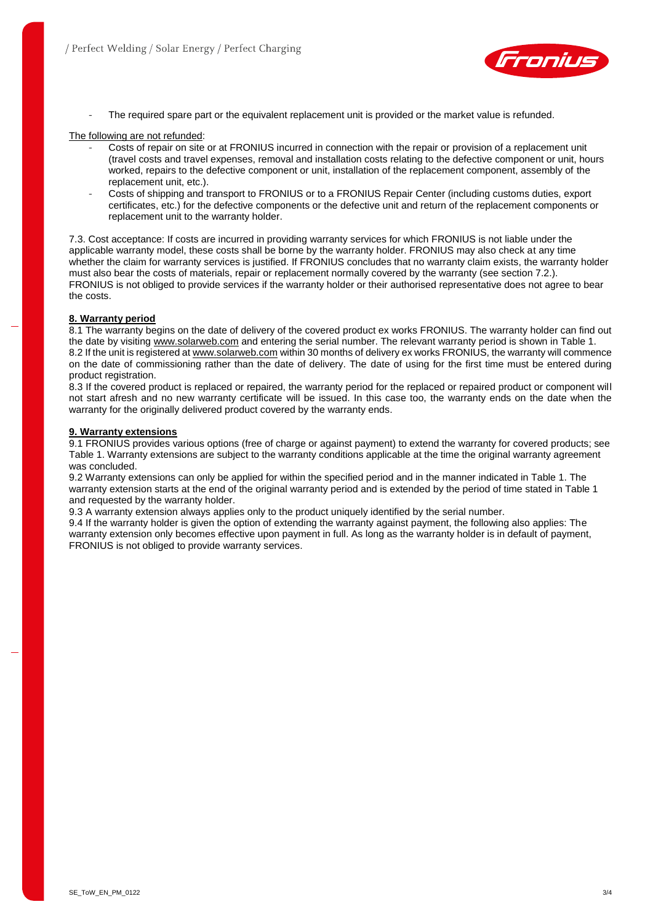

The required spare part or the equivalent replacement unit is provided or the market value is refunded.

#### The following are not refunded:

- Costs of repair on site or at FRONIUS incurred in connection with the repair or provision of a replacement unit (travel costs and travel expenses, removal and installation costs relating to the defective component or unit, hours worked, repairs to the defective component or unit, installation of the replacement component, assembly of the replacement unit, etc.).
- Costs of shipping and transport to FRONIUS or to a FRONIUS Repair Center (including customs duties, export certificates, etc.) for the defective components or the defective unit and return of the replacement components or replacement unit to the warranty holder.

7.3. Cost acceptance: If costs are incurred in providing warranty services for which FRONIUS is not liable under the applicable warranty model, these costs shall be borne by the warranty holder. FRONIUS may also check at any time whether the claim for warranty services is justified. If FRONIUS concludes that no warranty claim exists, the warranty holder must also bear the costs of materials, repair or replacement normally covered by the warranty (see section 7.2.). FRONIUS is not obliged to provide services if the warranty holder or their authorised representative does not agree to bear the costs.

### **8. Warranty period**

8.1 The warranty begins on the date of delivery of the covered product ex works FRONIUS. The warranty holder can find out the date by visiting [www.solarweb.com](http://www.solarweb.com/) and entering the serial number. The relevant warranty period is shown in Table 1. 8.2 If the unit is registered a[t www.solarweb.com](http://www.solarweb.com/) within 30 months of delivery ex works FRONIUS, the warranty will commence on the date of commissioning rather than the date of delivery. The date of using for the first time must be entered during product registration.

8.3 If the covered product is replaced or repaired, the warranty period for the replaced or repaired product or component will not start afresh and no new warranty certificate will be issued. In this case too, the warranty ends on the date when the warranty for the originally delivered product covered by the warranty ends.

#### **9. Warranty extensions**

9.1 FRONIUS provides various options (free of charge or against payment) to extend the warranty for covered products; see Table 1. Warranty extensions are subject to the warranty conditions applicable at the time the original warranty agreement was concluded.

9.2 Warranty extensions can only be applied for within the specified period and in the manner indicated in Table 1. The warranty extension starts at the end of the original warranty period and is extended by the period of time stated in Table 1 and requested by the warranty holder.

9.3 A warranty extension always applies only to the product uniquely identified by the serial number.

9.4 If the warranty holder is given the option of extending the warranty against payment, the following also applies: The warranty extension only becomes effective upon payment in full. As long as the warranty holder is in default of payment, FRONIUS is not obliged to provide warranty services.